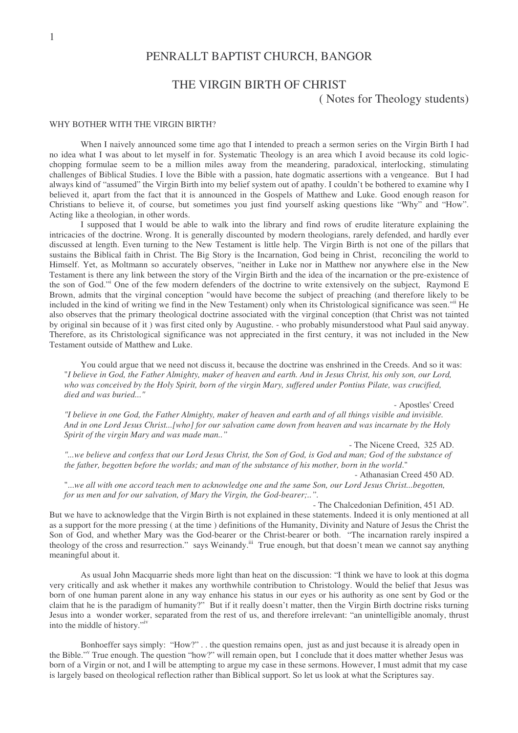# PENRALLT BAPTIST CHURCH, BANGOR

# THE VIRGIN BIRTH OF CHRIST

( Notes for Theology students)

#### WHY BOTHER WITH THE VIRGIN BIRTH?

When I naively announced some time ago that I intended to preach a sermon series on the Virgin Birth I had no idea what I was about to let myself in for. Systematic Theology is an area which I avoid because its cold logicchopping formulae seem to be a million miles away from the meandering, paradoxical, interlocking, stimulating challenges of Biblical Studies. I love the Bible with a passion, hate dogmatic assertions with a vengeance. But I had always kind of "assumed" the Virgin Birth into my belief system out of apathy. I couldn't be bothered to examine why I believed it, apart from the fact that it is announced in the Gospels of Matthew and Luke. Good enough reason for Christians to believe it, of course, but sometimes you just find yourself asking questions like "Why" and "How". Acting like a theologian, in other words.

I supposed that I would be able to walk into the library and find rows of erudite literature explaining the intricacies of the doctrine. Wrong. It is generally discounted by modern theologians, rarely defended, and hardly ever discussed at length. Even turning to the New Testament is little help. The Virgin Birth is not one of the pillars that sustains the Biblical faith in Christ. The Big Story is the Incarnation, God being in Christ, reconciling the world to Himself. Yet, as Moltmann so accurately observes, "neither in Luke nor in Matthew nor anywhere else in the New Testament is there any link between the story of the Virgin Birth and the idea of the incarnation or the pre-existence of the son of God." One of the few modern defenders of the doctrine to write extensively on the subject, Raymond E Brown, admits that the virginal conception "would have become the subject of preaching (and therefore likely to be included in the kind of writing we find in the New Testament) only when its Christological significance was seen."<sup>ii</sup> He also observes that the primary theological doctrine associated with the virginal conception (that Christ was not tainted by original sin because of it ) was first cited only by Augustine. - who probably misunderstood what Paul said anyway. Therefore, as its Christological significance was not appreciated in the first century, it was not included in the New Testament outside of Matthew and Luke.

You could argue that we need not discuss it, because the doctrine was enshrined in the Creeds. And so it was: "I believe in God, the Father Almighty, maker of heaven and earth. And in Jesus Christ, his only son, our Lord, who was conceived by the Holy Spirit, born of the virgin Mary, suffered under Pontius Pilate, was crucified, *died and was buried..."*

- Apostles'Creed

"I believe in one God, the Father Almighty, maker of heaven and earth and of all things visible and invisible. And in one Lord Jesus Christ...(whol for our salvation came down from heaven and was incarnate by the Holy *Spirit of the virgin Mary and was made man.."*

- The Nicene Creed, 325 AD.

"...we believe and confess that our Lord Jesus Christ, the Son of God, is God and man; God of the substance of the father, begotten before the worlds; and man of the substance of his mother, born in the world."

- Athanasian Creed 450 AD.

"...we all with one accord teach men to acknowledge one and the same Son, our Lord Jesus Christ...begotten. *for us men and for our salvation, of Mary the Virgin, the God-bearer;..".*

- The Chalcedonian Definition, 451 AD.

But we have to acknowledge that the Virgin Birth is not explained in these statements. Indeed it is only mentioned at all as a support for the more pressing ( at the time ) definitions of the Humanity, Divinity and Nature of Jesus the Christ the Son of God, and whether Mary was the God-bearer or the Christ-bearer or both. "The incarnation rarely inspired a theology of the cross and resurrection." says Weinandy.<sup>iii</sup> True enough, but that doesn't mean we cannot say anything meaningful about it.

As usual John Macquarrie sheds more light than heat on the discussion: "I think we have to look at this dogma very critically and ask whether it makes any worthwhile contribution to Christology. Would the belief that Jesus was born of one human parent alone in any way enhance his status in our eyes or his authority as one sent by God or the claim that he is the paradigm of humanity?" But if it really doesn't matter, then the Virgin Birth doctrine risks turning Jesus into a wonder worker, separated from the rest of us, and therefore irrelevant: "an unintelligible anomaly, thrust into the middle of history."<sup>iv</sup>

Bonhoeffer says simply: "How?" . . the question remains open, just as and just because it is already open in the Bible." True enough. The question "how?" will remain open, but I conclude that it does matter whether Jesus was born of a Virgin or not, and I will be attempting to argue my case in these sermons. However, I must admit that my case is largely based on theological reflection rather than Biblical support. So let us look at what the Scriptures say.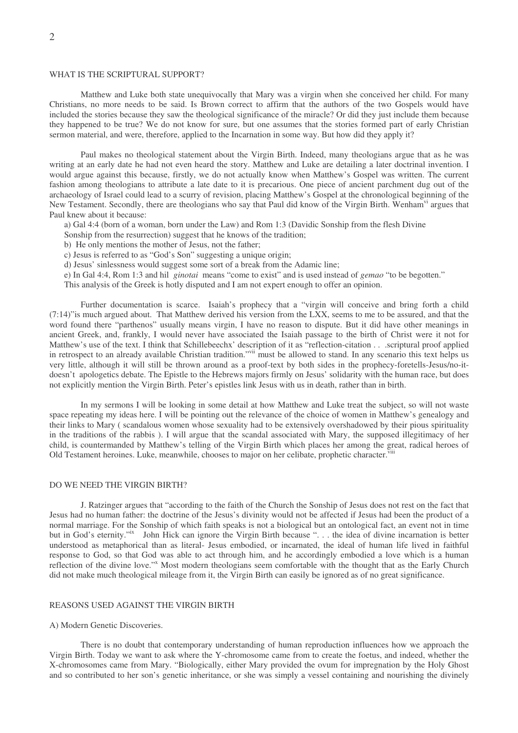# WHAT IS THE SCRIPTURAL SUPPORT?

Matthew and Luke both state unequivocally that Mary was a virgin when she conceived her child. For many Christians, no more needs to be said. Is Brown correct to affirm that the authors of the two Gospels would have included the stories because they saw the theological significance of the miracle? Or did they just include them because they happened to be true? We do not know for sure, but one assumes that the stories formed part of early Christian sermon material, and were, therefore, applied to the Incarnation in some way. But how did they apply it?

Paul makes no theological statement about the Virgin Birth. Indeed, many theologians argue that as he was writing at an early date he had not even heard the story. Matthew and Luke are detailing a later doctrinal invention. I would argue against this because, firstly, we do not actually know when Matthew's Gospel was written. The current fashion among theologians to attribute a late date to it is precarious. One piece of ancient parchment dug out of the archaeology of Israel could lead to a scurry of revision, placing Matthew's Gospel at the chronological beginning of the New Testament. Secondly, there are theologians who say that Paul did know of the Virgin Birth. Wenham<sup>vi</sup> argues that Paul knew about it because:

a) Gal 4:4 (born of a woman, born under the Law) and Rom 1:3 (Davidic Sonship from the flesh Divine

- Sonship from the resurrection) suggest that he knows of the tradition;
- b) He only mentions the mother of Jesus, not the father;
- c) Jesus is referred to as "God's Son" suggesting a unique origin;
- d) Jesus' sinlessness would suggest some sort of a break from the Adamic line;
- e) In Gal 4:4, Rom 1:3 and hil *ginotai* means "come to exist" and is used instead of *gemao* "to be begotten."
- This analysis of the Greek is hotly disputed and I am not expert enough to offer an opinion.

Further documentation is scarce. Isaiah's prophecy that a "virgin will conceive and bring forth a child (7:14)"is much argued about. That Matthew derived his version from the LXX, seems to me to be assured, and that the word found there "parthenos" usually means virgin, I have no reason to dispute. But it did have other meanings in ancient Greek, and, frankly, I would never have associated the Isaiah passage to the birth of Christ were it not for Matthew's use of the text. I think that Schillebeechx' description of it as "reflection-citation . . . scriptural proof applied in retrospect to an already available Christian tradition."<sup>vii</sup> must be allowed to stand. In any scenario this text helps us very little, although it will still be thrown around as a proof-text by both sides in the prophecy-foretells-Jesus/no-itdoesn't apologetics debate. The Epistle to the Hebrews majors firmly on Jesus' solidarity with the human race, but does not explicitly mention the Virgin Birth. Peter's epistles link Jesus with us in death, rather than in birth.

In my sermons I will be looking in some detail at how Matthew and Luke treat the subject, so will not waste space repeating my ideas here. I will be pointing out the relevance of the choice of women in Matthew's genealogy and their links to Mary ( scandalous women whose sexuality had to be extensively overshadowed by their pious spirituality in the traditions of the rabbis ). I will argue that the scandal associated with Mary, the supposed illegitimacy of her child, is countermanded by Matthew's telling of the Virgin Birth which places her among the great, radical heroes of Old Testament heroines. Luke, meanwhile, chooses to major on her celibate, prophetic character. Viii

# DO WE NEED THE VIRGIN BIRTH?

J. Ratzinger argues that "according to the faith of the Church the Sonship of Jesus does not rest on the fact that Jesus had no human father: the doctrine of the Jesus's divinity would not be affected if Jesus had been the product of a normal marriage. For the Sonship of which faith speaks is not a biological but an ontological fact, an event not in time but in God's eternity." John Hick can ignore the Virgin Birth because ". . . the idea of divine incarnation is better understood as metaphorical than as literal- Jesus embodied, or incarnated, the ideal of human life lived in faithful response to God, so that God was able to act through him, and he accordingly embodied a love which is a human reflection of the divine love."<sup>x</sup> Most modern theologians seem comfortable with the thought that as the Early Church did not make much theological mileage from it, the Virgin Birth can easily be ignored as of no great significance.

# REASONS USED AGAINST THE VIRGIN BIRTH

### A) Modern Genetic Discoveries.

There is no doubt that contemporary understanding of human reproduction influences how we approach the Virgin Birth. Today we want to ask where the Y-chromosome came from to create the foetus, and indeed, whether the X-chromosomes came from Mary. "Biologically, either Mary provided the ovum for impregnation by the Holy Ghost and so contributed to her son's genetic inheritance, or she was simply a vessel containing and nourishing the divinely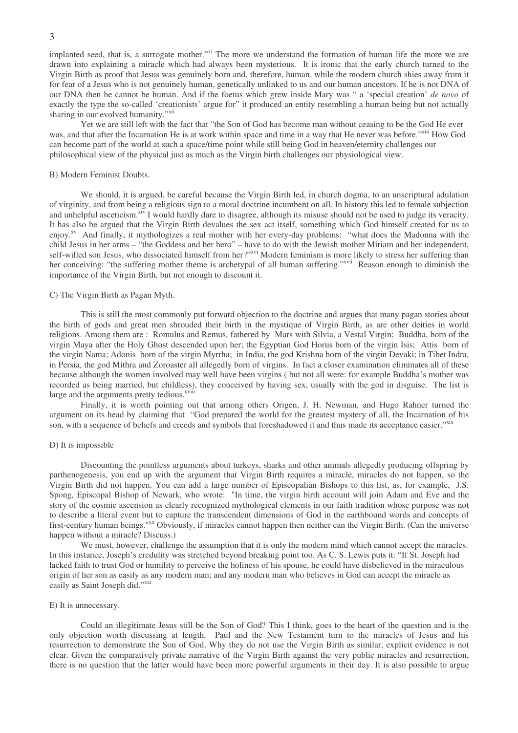implanted seed, that is, a surrogate mother."<sup>xi</sup> The more we understand the formation of human life the more we are drawn into explaining a miracle which had always been mysterious. It is ironic that the early church turned to the Virgin Birth as proof that Jesus was genuinely born and, therefore, human, while the modern church shies away from it for fear of a Jesus who is not genuinely human, genetically unlinked to us and our human ancestors. If he is not DNA of our DNA then he cannot be human. And if the foetus which grew inside Mary was " a 'special creation' *de novo* of exactly the type the so-called 'creationists' argue for" it produced an entity resembling a human being but not actually sharing in our evolved humanity."Xii

Yet we are still left with the fact that "the Son of God has become man without ceasing to be the God He ever was, and that after the Incarnation He is at work within space and time in a way that He never was before."<sup>xiii</sup> How God can become part of the world at such a space/time point while still being God in heaven/eternity challenges our philosophical view of the physical just as much as the Virgin birth challenges our physiological view.

#### B) Modern Feminist Doubts.

We should, it is argued, be careful because the Virgin Birth led, in church dogma, to an unscriptural adulation of virginity, and from being a religious sign to a moral doctrine incumbent on all. In history this led to female subjection and unhelpful asceticism.<sup>xiv</sup> I would hardly dare to disagree, although its misuse should not be used to judge its veracity. It has also be argued that the Virgin Birth devalues the sex act itself, something which God himself created for us to enjoy.<sup>xv</sup> And finally, it mythologizes a real mother with her every-day problems: "what does the Madonna with the child Jesus in her arms – "the Goddess and her hero" – have to do with the Jewish mother Miriam and her independent, self-willed son Jesus, who dissociated himself from her?"<sup>xvi</sup> Modern feminism is more likely to stress her suffering than her conceiving: "the suffering mother theme is archetypal of all human suffering."<sup>xvii</sup> Reason enough to diminish the importance of the Virgin Birth, but not enough to discount it.

#### C) The Virgin Birth as Pagan Myth.

This is still the most commonly put forward objection to the doctrine and argues that many pagan stories about the birth of gods and great men shrouded their birth in the mystique of Virgin Birth, as are other deities in world religions. Among them are : Romulus and Remus, fathered by Mars with Silvia, a Vestal Virgin; Buddha, born of the virgin Maya after the Holy Ghost descended upon her; the Egyptian God Horus born of the virgin Isis; Attis born of the virgin Nama; Adonis born of the virgin Myrrha; in India, the god Krishna born of the virgin Devaki; in Tibet Indra, in Persia, the god Mithra and Zoroaster all allegedly born of virgins. In fact a closer examination eliminates all of these because although the women involved may well have been virgins ( but not all were: for example Buddha's mother was recorded as being married, but childless), they conceived by having sex, usually with the god in disguise. The list is large and the arguments pretty tedious.<sup>xviii</sup>

Finally, it is worth pointing out that among others Origen, J. H. Newman, and Hugo Rahner turned the argument on its head by claiming that "God prepared the world for the greatest mystery of all, the Incarnation of his son, with a sequence of beliefs and creeds and symbols that foreshadowed it and thus made its acceptance easier."xix

### D) It is impossible

Discounting the pointless arguments about turkeys, sharks and other animals allegedly producing offspring by parthenogenesis, you end up with the argument that Virgin Birth requires a miracle, miracles do not happen, so the Virgin Birth did not happen. You can add a large number of Episcopalian Bishops to this list, as, for example, J.S. Spong, Episcopal Bishop of Newark, who wrote: "In time, the virgin birth account will join Adam and Eve and the story of the cosmic ascension as clearly recognized mythological elements in our faith tradition whose purpose was not to describe a literal event but to capture the transcendent dimensions of God in the earthbound words and concepts of first-century human beings."<sup>xx</sup> Obviously, if miracles cannot happen then neither can the Virgin Birth. (Can the universe happen without a miracle? Discuss.)

We must, however, challenge the assumption that it is only the modern mind which cannot accept the miracles. In this instance, Joseph's credulity was stretched beyond breaking point too. As C. S. Lewis puts it: "If St. Joseph had lacked faith to trust God or humility to perceive the holiness of his spouse, he could have disbelieved in the miraculous origin of her son as easily as any modern man; and any modern man who believes in God can accept the miracle as easily as Saint Joseph did."xxi

#### E) It is unnecessary.

Could an illegitimate Jesus still be the Son of God? This I think, goes to the heart of the question and is the only objection worth discussing at length. Paul and the New Testament turn to the miracles of Jesus and his resurrection to demonstrate the Son of God. Why they do not use the Virgin Birth as similar, explicit evidence is not clear. Given the comparatively private narrative of the Virgin Birth against the very public miracles and resurrection, there is no question that the latter would have been more powerful arguments in their day. It is also possible to argue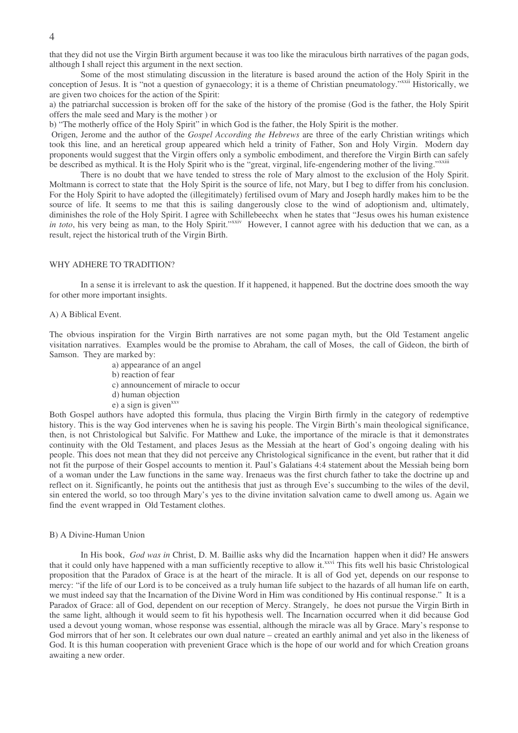that they did not use the Virgin Birth argument because it was too like the miraculous birth narratives of the pagan gods, although I shall reject this argument in the next section.

Some of the most stimulating discussion in the literature is based around the action of the Holy Spirit in the conception of Jesus. It is "not a question of gynaecology; it is a theme of Christian pneumatology."<sup>xxii</sup> Historically, we are given two choices for the action of the Spirit:

a) the patriarchal succession is broken off for the sake of the history of the promise (God is the father, the Holy Spirit offers the male seed and Mary is the mother ) or

b) "The motherly office of the Holy Spirit" in which God is the father, the Holy Spirit is the mother.

Origen, Jerome and the author of the *Gospel According the Hebrews* are three of the early Christian writings which took this line, and an heretical group appeared which held a trinity of Father, Son and Holy Virgin. Modern day proponents would suggest that the Virgin offers only a symbolic embodiment, and therefore the Virgin Birth can safely be described as mythical. It is the Holy Spirit who is the "great, virginal, life-engendering mother of the living."xxiii

There is no doubt that we have tended to stress the role of Mary almost to the exclusion of the Holy Spirit. Moltmann is correct to state that the Holy Spirit is the source of life, not Mary, but I beg to differ from his conclusion. For the Holy Spirit to have adopted the (illegitimately) fertilised ovum of Mary and Joseph hardly makes him to be the source of life. It seems to me that this is sailing dangerously close to the wind of adoptionism and, ultimately, diminishes the role of the Holy Spirit. I agree with Schillebeechx when he states that "Jesus owes his human existence in toto, his very being as man, to the Holy Spirit."<sup>xxiv</sup> However, I cannot agree with his deduction that we can, as a result, reject the historical truth of the Virgin Birth.

## WHY ADHERE TO TRADITION?

In a sense it is irrelevant to ask the question. If it happened, it happened. But the doctrine does smooth the way for other more important insights.

#### A) A Biblical Event.

The obvious inspiration for the Virgin Birth narratives are not some pagan myth, but the Old Testament angelic visitation narratives. Examples would be the promise to Abraham, the call of Moses, the call of Gideon, the birth of Samson. They are marked by:

- a) appearance of an angel
- b) reaction of fear
- c) announcement of miracle to occur
- d) human objection
- e) a sign is given<sup>xxv</sup>

Both Gospel authors have adopted this formula, thus placing the Virgin Birth firmly in the category of redemptive history. This is the way God intervenes when he is saving his people. The Virgin Birth's main theological significance, then, is not Christological but Salvific. For Matthew and Luke, the importance of the miracle is that it demonstrates continuity with the Old Testament, and places Jesus as the Messiah at the heart of God's ongoing dealing with his people. This does not mean that they did not perceive any Christological significance in the event, but rather that it did not fit the purpose of their Gospel accounts to mention it. Paul's Galatians 4:4 statement about the Messiah being born of a woman under the Law functions in the same way. Irenaeus was the first church father to take the doctrine up and reflect on it. Significantly, he points out the antithesis that just as through Eve's succumbing to the wiles of the devil, sin entered the world, so too through Mary's yes to the divine invitation salvation came to dwell among us. Again we find the event wrapped in Old Testament clothes.

#### B) A Divine-Human Union

In His book, *God was in* Christ, D. M. Baillie asks why did the Incarnation happen when it did? He answers that it could only have happened with a man sufficiently receptive to allow it.<sup>xxvi</sup> This fits well his basic Christological proposition that the Paradox of Grace is at the heart of the miracle. It is all of God yet, depends on our response to mercy: "if the life of our Lord is to be conceived as a truly human life subject to the hazards of all human life on earth, we must indeed say that the Incarnation of the Divine Word in Him was conditioned by His continual response." It is a Paradox of Grace: all of God, dependent on our reception of Mercy. Strangely, he does not pursue the Virgin Birth in the same light, although it would seem to fit his hypothesis well. The Incarnation occurred when it did because God used a devout young woman, whose response was essential, although the miracle was all by Grace. Mary's response to God mirrors that of her son. It celebrates our own dual nature – created an earthly animal and yet also in the likeness of God. It is this human cooperation with prevenient Grace which is the hope of our world and for which Creation groans awaiting a new order.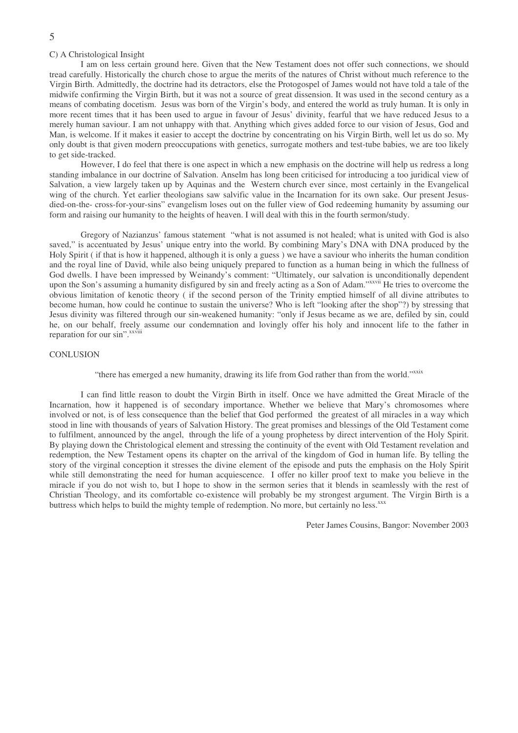# C) A Christological Insight

I am on less certain ground here. Given that the New Testament does not offer such connections, we should tread carefully. Historically the church chose to argue the merits of the natures of Christ without much reference to the Virgin Birth. Admittedly, the doctrine had its detractors, else the Protogospel of James would not have told a tale of the midwife confirming the Virgin Birth, but it was not a source of great dissension. It was used in the second century as a means of combating docetism. Jesus was born of the Virgin's body, and entered the world as truly human. It is only in more recent times that it has been used to argue in favour of Jesus' divinity, fearful that we have reduced Jesus to a merely human saviour. I am not unhappy with that. Anything which gives added force to our vision of Jesus, God and Man, is welcome. If it makes it easier to accept the doctrine by concentrating on his Virgin Birth, well let us do so. My only doubt is that given modern preoccupations with genetics, surrogate mothers and test-tube babies, we are too likely to get side-tracked.

However, I do feel that there is one aspect in which a new emphasis on the doctrine will help us redress a long standing imbalance in our doctrine of Salvation. Anselm has long been criticised for introducing a too juridical view of Salvation, a view largely taken up by Aquinas and the Western church ever since, most certainly in the Evangelical wing of the church. Yet earlier theologians saw salvific value in the Incarnation for its own sake. Our present Jesusdied-on-the- cross-for-your-sins" evangelism loses out on the fuller view of God redeeming humanity by assuming our form and raising our humanity to the heights of heaven. I will deal with this in the fourth sermon/study.

Gregory of Nazianzus' famous statement "what is not assumed is not healed; what is united with God is also saved," is accentuated by Jesus' unique entry into the world. By combining Mary's DNA with DNA produced by the Holy Spirit ( if that is how it happened, although it is only a guess ) we have a saviour who inherits the human condition and the royal line of David, while also being uniquely prepared to function as a human being in which the fullness of God dwells. I have been impressed by Weinandy's comment: "Ultimately, our salvation is unconditionally dependent upon the Son's assuming a humanity disfigured by sin and freely acting as a Son of Adam." XXVIII He tries to overcome the obvious limitation of kenotic theory ( if the second person of the Trinity emptied himself of all divine attributes to become human, how could he continue to sustain the universe? Who is left "looking after the shop"?) by stressing that Jesus divinity was filtered through our sin-weakened humanity: "only if Jesus became as we are, defiled by sin, could he, on our behalf, freely assume our condemnation and lovingly offer his holy and innocent life to the father in reparation for our sin".<sup>xxviii</sup>

# **CONLUSION**

"there has emerged a new humanity, drawing its life from God rather than from the world."xxix

I can find little reason to doubt the Virgin Birth in itself. Once we have admitted the Great Miracle of the Incarnation, how it happened is of secondary importance. Whether we believe that Mary's chromosomes where involved or not, is of less consequence than the belief that God performed the greatest of all miracles in a way which stood in line with thousands of years of Salvation History. The great promises and blessings of the Old Testament come to fulfilment, announced by the angel, through the life of a young prophetess by direct intervention of the Holy Spirit. By playing down the Christological element and stressing the continuity of the event with Old Testament revelation and redemption, the New Testament opens its chapter on the arrival of the kingdom of God in human life. By telling the story of the virginal conception it stresses the divine element of the episode and puts the emphasis on the Holy Spirit while still demonstrating the need for human acquiescence. I offer no killer proof text to make you believe in the miracle if you do not wish to, but I hope to show in the sermon series that it blends in seamlessly with the rest of Christian Theology, and its comfortable co-existence will probably be my strongest argument. The Virgin Birth is a buttress which helps to build the mighty temple of redemption. No more, but certainly no less.<sup>xxx</sup>

Peter James Cousins, Bangor: November 2003